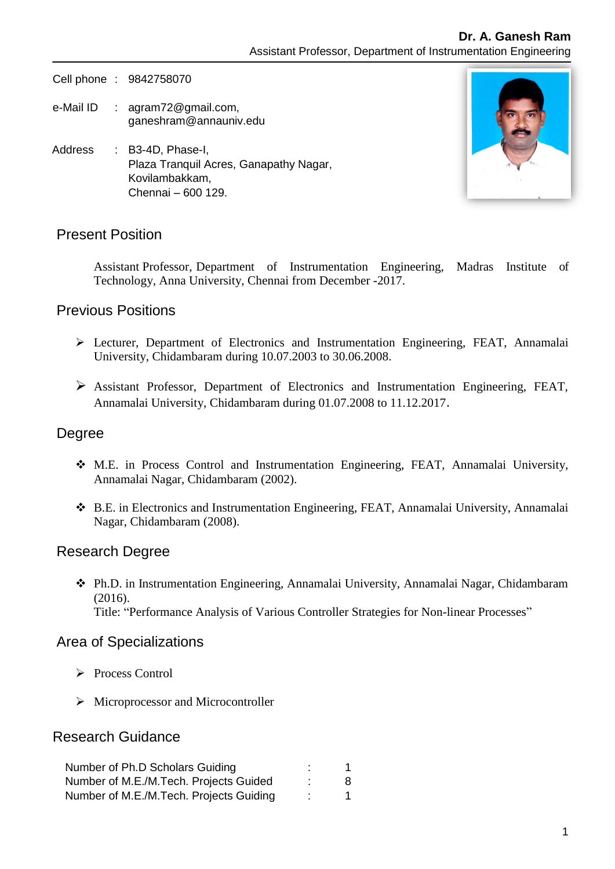Cell phone : 9842758070

- e-Mail ID : [agram72@gmail.com,](mailto:kamalanand@mitindia.edu) ganeshram@annauniv.edu
- Address : B3-4D, Phase-I, Plaza Tranquil Acres, Ganapathy Nagar, Kovilambakkam, Chennai – 600 129.



## Present Position

Assistant Professor, Department of Instrumentation Engineering, Madras Institute of Technology, Anna University, Chennai from December -2017.

### Previous Positions

- Lecturer, Department of Electronics and Instrumentation Engineering, FEAT, Annamalai University, Chidambaram during 10.07.2003 to 30.06.2008.
- Assistant Professor, Department of Electronics and Instrumentation Engineering, FEAT, Annamalai University, Chidambaram during 01.07.2008 to 11.12.2017.

### Degree

- M.E. in Process Control and Instrumentation Engineering, FEAT, Annamalai University, Annamalai Nagar, Chidambaram (2002).
- B.E. in Electronics and Instrumentation Engineering, FEAT, Annamalai University, Annamalai Nagar, Chidambaram (2008).

#### Research Degree

 Ph.D. in Instrumentation Engineering, Annamalai University, Annamalai Nagar, Chidambaram (2016). Title: "Performance Analysis of Various Controller Strategies for Non-linear Processes"

### Area of Specializations

- Process Control
- $\triangleright$  Microprocessor and Microcontroller

### Research Guidance

| Number of Ph.D Scholars Guiding         |   |
|-----------------------------------------|---|
| Number of M.E./M.Tech. Projects Guided  | 8 |
| Number of M.E./M.Tech. Projects Guiding |   |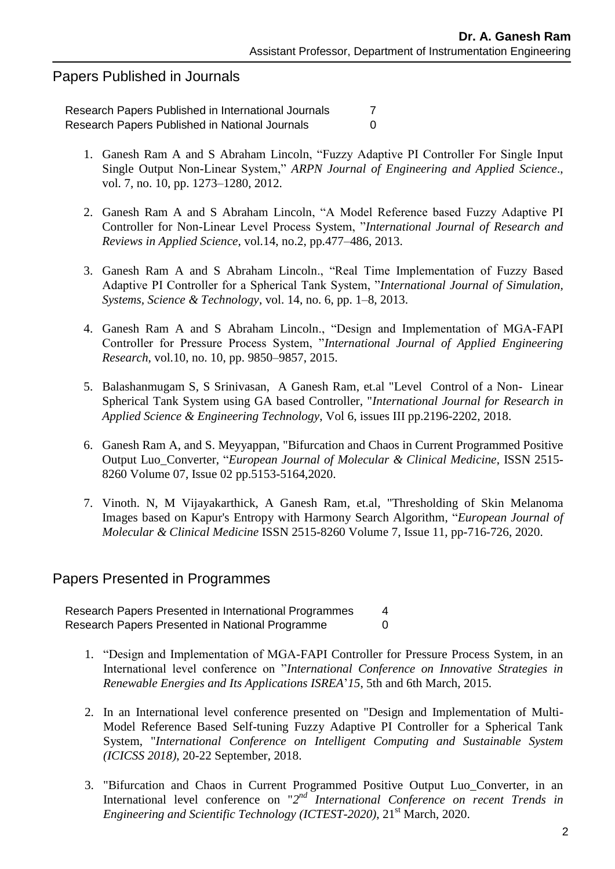## Papers Published in Journals

Research Papers Published in International Journals 7 Research Papers Published in National Journals **COV** 0

- 1. Ganesh Ram A and S Abraham Lincoln, "Fuzzy Adaptive PI Controller For Single Input Single Output Non-Linear System," *ARPN Journal of Engineering and Applied Science*., vol. 7, no. 10, pp. 1273–1280, 2012.
- 2. Ganesh Ram A and S Abraham Lincoln, "A Model Reference based Fuzzy Adaptive PI Controller for Non-Linear Level Process System, "*International Journal of Research and Reviews in Applied Science*, vol.14, no.2, pp.477–486, 2013.
- 3. Ganesh Ram A and S Abraham Lincoln., "Real Time Implementation of Fuzzy Based Adaptive PI Controller for a Spherical Tank System, "*International Journal of Simulation, Systems, Science & Technology*, vol. 14, no. 6, pp. 1–8, 2013.
- 4. Ganesh Ram A and S Abraham Lincoln., "Design and Implementation of MGA-FAPI Controller for Pressure Process System, "*International Journal of Applied Engineering Research*, vol.10, no. 10, pp. 9850–9857, 2015.
- 5. Balashanmugam S, S Srinivasan, A Ganesh Ram, et.al "Level Control of a Non- Linear Spherical Tank System using GA based Controller, "*International Journal for Research in Applied Science & Engineering Technology*, Vol 6, issues III pp.2196-2202, 2018.
- 6. Ganesh Ram A, and S. Meyyappan, "Bifurcation and Chaos in Current Programmed Positive Output Luo\_Converter, "*European Journal of Molecular & Clinical Medicine*, ISSN 2515- 8260 Volume 07, Issue 02 pp.5153-5164,2020.
- 7. Vinoth. N, M Vijayakarthick, A Ganesh Ram, et.al, "Thresholding of Skin Melanoma Images based on Kapur's Entropy with Harmony Search Algorithm, "*European Journal of Molecular & Clinical Medicine* ISSN 2515-8260 Volume 7, Issue 11, pp-716-726, 2020.

### Papers Presented in Programmes

Research Papers Presented in International Programmes 4 Research Papers Presented in National Programme 0

- 1. "Design and Implementation of MGA-FAPI Controller for Pressure Process System, in an International level conference on "*International Conference on Innovative Strategies in Renewable Energies and Its Applications ISREA*'*15*, 5th and 6th March, 2015.
- 2. In an International level conference presented on "Design and Implementation of Multi-Model Reference Based Self-tuning Fuzzy Adaptive PI Controller for a Spherical Tank System, "*International Conference on Intelligent Computing and Sustainable System (ICICSS 2018)*, 20-22 September, 2018.
- 3. "Bifurcation and Chaos in Current Programmed Positive Output Luo\_Converter, in an International level conference on "2<sup>nd</sup> *International Conference on recent Trends in Engineering and Scientific Technology (ICTEST-2020),* 21<sup>st</sup> March, 2020.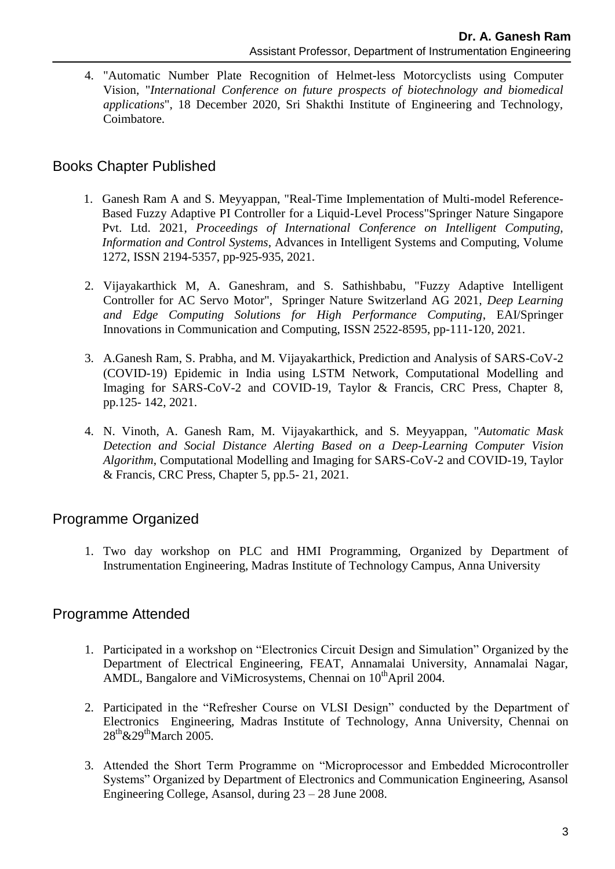4. "Automatic Number Plate Recognition of Helmet-less Motorcyclists using Computer Vision, "*International Conference on future prospects of biotechnology and biomedical applications*", 18 December 2020, Sri Shakthi Institute of Engineering and Technology, Coimbatore.

## Books Chapter Published

- 1. Ganesh Ram A and S. Meyyappan, "Real-Time Implementation of Multi-model Reference-Based Fuzzy Adaptive PI Controller for a Liquid-Level Process"Springer Nature Singapore Pvt. Ltd. 2021, *Proceedings of International Conference on Intelligent Computing, Information and Control Systems*, Advances in Intelligent Systems and Computing, Volume 1272, ISSN 2194-5357, pp-925-935, 2021.
- 2. Vijayakarthick M, A. Ganeshram, and S. Sathishbabu, "Fuzzy Adaptive Intelligent Controller for AC Servo Motor", Springer Nature Switzerland AG 2021, *Deep Learning and Edge Computing Solutions for High Performance Computing*, EAI/Springer Innovations in Communication and Computing, ISSN 2522-8595, pp-111-120, 2021.
- 3. A.Ganesh Ram, S. Prabha, and M. Vijayakarthick, Prediction and Analysis of SARS-CoV-2 (COVID-19) Epidemic in India using LSTM Network, Computational Modelling and Imaging for SARS-CoV-2 and COVID-19, Taylor & Francis, CRC Press, Chapter 8, pp.125- 142, 2021.
- 4. N. Vinoth, A. Ganesh Ram, M. Vijayakarthick, and S. Meyyappan, "*Automatic Mask Detection and Social Distance Alerting Based on a Deep-Learning Computer Vision Algorithm*, Computational Modelling and Imaging for SARS-CoV-2 and COVID-19, Taylor & Francis, CRC Press, Chapter 5, pp.5- 21, 2021.

# Programme Organized

1. Two day workshop on PLC and HMI Programming, Organized by Department of Instrumentation Engineering, Madras Institute of Technology Campus, Anna University

## Programme Attended

- 1. Participated in a workshop on "Electronics Circuit Design and Simulation" Organized by the Department of Electrical Engineering, FEAT, Annamalai University, Annamalai Nagar, AMDL, Bangalore and ViMicrosystems, Chennai on  $10^{th}$ April 2004.
- 2. Participated in the "Refresher Course on VLSI Design" conducted by the Department of Electronics Engineering, Madras Institute of Technology, Anna University, Chennai on 28<sup>th</sup>&29<sup>th</sup>March 2005.
- 3. Attended the Short Term Programme on "Microprocessor and Embedded Microcontroller Systems" Organized by Department of Electronics and Communication Engineering, Asansol Engineering College, Asansol, during 23 – 28 June 2008.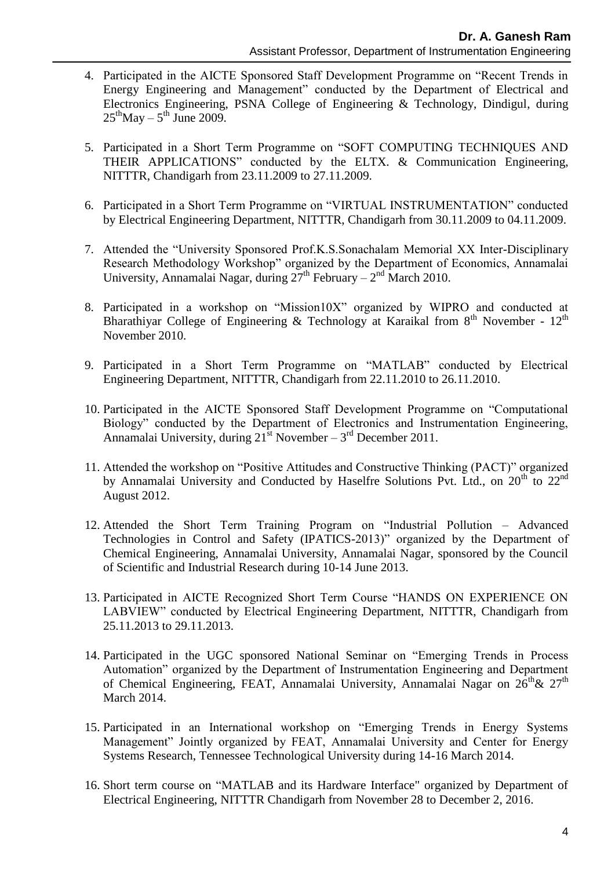- 4. Participated in the AICTE Sponsored Staff Development Programme on "Recent Trends in Energy Engineering and Management" conducted by the Department of Electrical and Electronics Engineering, PSNA College of Engineering & Technology, Dindigul, during  $25<sup>th</sup>$ May –  $5<sup>th</sup>$  June 2009.
- 5. Participated in a Short Term Programme on "SOFT COMPUTING TECHNIQUES AND THEIR APPLICATIONS" conducted by the ELTX. & Communication Engineering, NITTTR, Chandigarh from 23.11.2009 to 27.11.2009.
- 6. Participated in a Short Term Programme on "VIRTUAL INSTRUMENTATION" conducted by Electrical Engineering Department, NITTTR, Chandigarh from 30.11.2009 to 04.11.2009.
- 7. Attended the "University Sponsored Prof.K.S.Sonachalam Memorial XX Inter-Disciplinary Research Methodology Workshop" organized by the Department of Economics, Annamalai University, Annamalai Nagar, during  $27<sup>th</sup>$  February –  $2<sup>nd</sup>$  March 2010.
- 8. Participated in a workshop on "Mission10X" organized by WIPRO and conducted at Bharathiyar College of Engineering & Technology at Karaikal from  $8<sup>th</sup>$  November -  $12<sup>th</sup>$ November 2010.
- 9. Participated in a Short Term Programme on "MATLAB" conducted by Electrical Engineering Department, NITTTR, Chandigarh from 22.11.2010 to 26.11.2010.
- 10. Participated in the AICTE Sponsored Staff Development Programme on "Computational Biology" conducted by the Department of Electronics and Instrumentation Engineering, Annamalai University, during  $21^{st}$  November  $-3^{rd}$  December 2011.
- 11. Attended the workshop on "Positive Attitudes and Constructive Thinking (PACT)" organized by Annamalai University and Conducted by Haselfre Solutions Pvt. Ltd., on 20<sup>th</sup> to 22<sup>nd</sup> August 2012.
- 12. Attended the Short Term Training Program on "Industrial Pollution Advanced Technologies in Control and Safety (IPATICS-2013)" organized by the Department of Chemical Engineering, Annamalai University, Annamalai Nagar, sponsored by the Council of Scientific and Industrial Research during 10-14 June 2013.
- 13. Participated in AICTE Recognized Short Term Course "HANDS ON EXPERIENCE ON LABVIEW" conducted by Electrical Engineering Department, NITTTR, Chandigarh from 25.11.2013 to 29.11.2013.
- 14. Participated in the UGC sponsored National Seminar on "Emerging Trends in Process Automation" organized by the Department of Instrumentation Engineering and Department of Chemical Engineering, FEAT, Annamalai University, Annamalai Nagar on 26<sup>th</sup>& 27<sup>th</sup> March 2014.
- 15. Participated in an International workshop on "Emerging Trends in Energy Systems Management" Jointly organized by FEAT, Annamalai University and Center for Energy Systems Research, Tennessee Technological University during 14-16 March 2014.
- 16. Short term course on "MATLAB and its Hardware Interface" organized by Department of Electrical Engineering, NITTTR Chandigarh from November 28 to December 2, 2016.